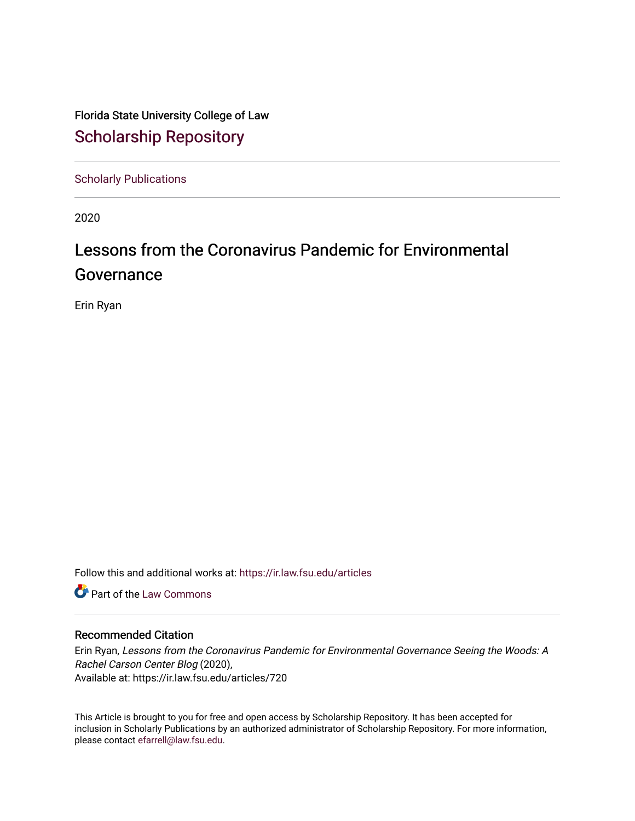Florida State University College of Law [Scholarship Repository](https://ir.law.fsu.edu/) 

[Scholarly Publications](https://ir.law.fsu.edu/articles) 

2020

## Lessons from the Coronavirus Pandemic for Environmental Governance

Erin Ryan

Follow this and additional works at: [https://ir.law.fsu.edu/articles](https://ir.law.fsu.edu/articles?utm_source=ir.law.fsu.edu%2Farticles%2F720&utm_medium=PDF&utm_campaign=PDFCoverPages) 

**Part of the [Law Commons](https://network.bepress.com/hgg/discipline/578?utm_source=ir.law.fsu.edu%2Farticles%2F720&utm_medium=PDF&utm_campaign=PDFCoverPages)** 

## Recommended Citation

Erin Ryan, Lessons from the Coronavirus Pandemic for Environmental Governance Seeing the Woods: A Rachel Carson Center Blog (2020), Available at: https://ir.law.fsu.edu/articles/720

This Article is brought to you for free and open access by Scholarship Repository. It has been accepted for inclusion in Scholarly Publications by an authorized administrator of Scholarship Repository. For more information, please contact [efarrell@law.fsu.edu.](mailto:efarrell@law.fsu.edu)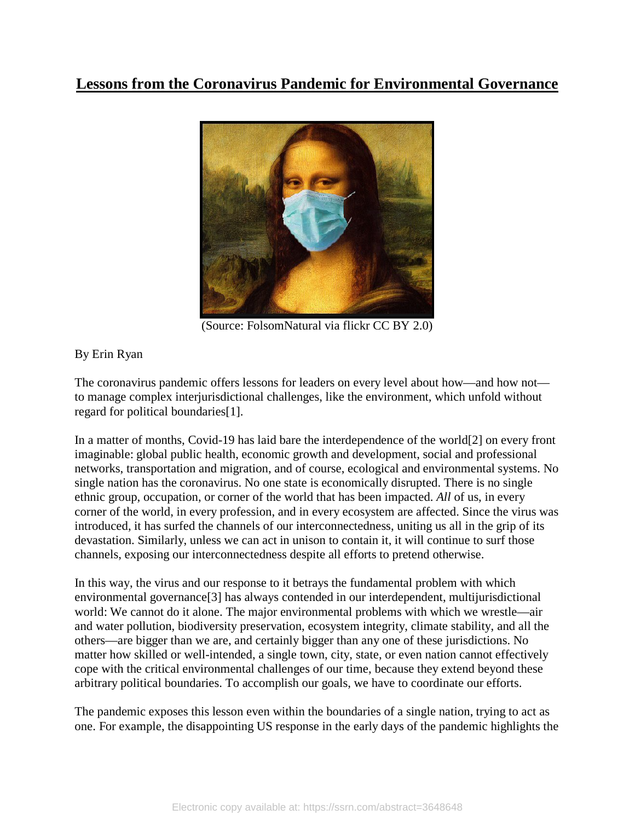## **Lessons from the Coronavirus Pandemic for Environmental Governance**



(Source: FolsomNatural via flickr CC BY 2.0)

## By Erin Ryan

The coronavirus pandemic offers lessons for leaders on every level about how—and how not to manage complex interjurisdictional challenges, like the environment, which unfold without regard for political boundaries[1].

In a matter of months, Covid-19 has laid bare the interdependence of the world[2] on every front imaginable: global public health, economic growth and development, social and professional networks, transportation and migration, and of course, ecological and environmental systems. No single nation has the coronavirus. No one state is economically disrupted. There is no single ethnic group, occupation, or corner of the world that has been impacted. *All* of us, in every corner of the world, in every profession, and in every ecosystem are affected. Since the virus was introduced, it has surfed the channels of our interconnectedness, uniting us all in the grip of its devastation. Similarly, unless we can act in unison to contain it, it will continue to surf those channels, exposing our interconnectedness despite all efforts to pretend otherwise.

In this way, the virus and our response to it betrays the fundamental problem with which environmental governance[3] has always contended in our interdependent, multijurisdictional world: We cannot do it alone. The major environmental problems with which we wrestle—air and water pollution, biodiversity preservation, ecosystem integrity, climate stability, and all the others—are bigger than we are, and certainly bigger than any one of these jurisdictions. No matter how skilled or well-intended, a single town, city, state, or even nation cannot effectively cope with the critical environmental challenges of our time, because they extend beyond these arbitrary political boundaries. To accomplish our goals, we have to coordinate our efforts.

The pandemic exposes this lesson even within the boundaries of a single nation, trying to act as one. For example, the disappointing US response in the early days of the pandemic highlights the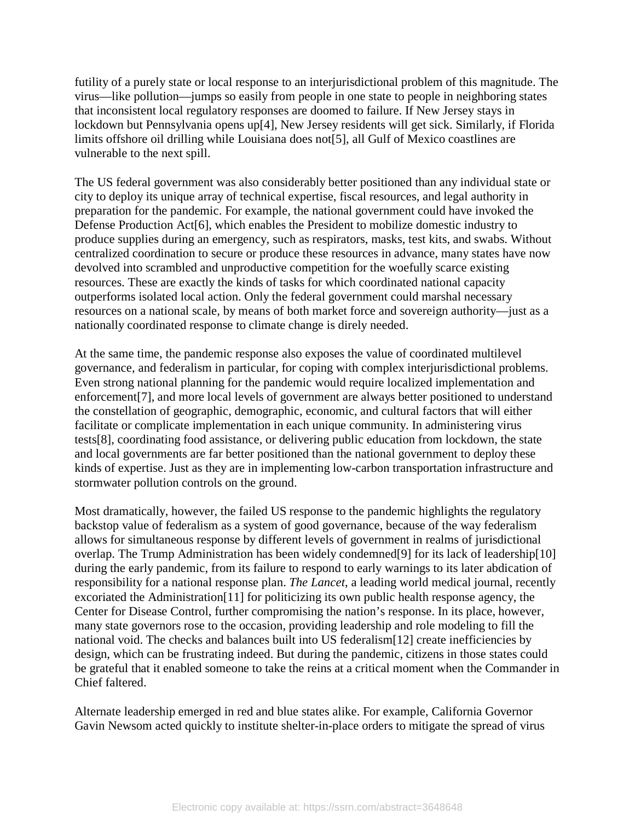futility of a purely state or local response to an interjurisdictional problem of this magnitude. The virus—like pollution—jumps so easily from people in one state to people in neighboring states that inconsistent local regulatory responses are doomed to failure. If New Jersey stays in lockdown but Pennsylvania opens up[4], New Jersey residents will get sick. Similarly, if Florida limits offshore oil drilling while Louisiana does not[5], all Gulf of Mexico coastlines are vulnerable to the next spill.

The US federal government was also considerably better positioned than any individual state or city to deploy its unique array of technical expertise, fiscal resources, and legal authority in preparation for the pandemic. For example, the national government could have invoked the Defense Production Act[6], which enables the President to mobilize domestic industry to produce supplies during an emergency, such as respirators, masks, test kits, and swabs. Without centralized coordination to secure or produce these resources in advance, many states have now devolved into scrambled and unproductive competition for the woefully scarce existing resources. These are exactly the kinds of tasks for which coordinated national capacity outperforms isolated local action. Only the federal government could marshal necessary resources on a national scale, by means of both market force and sovereign authority—just as a nationally coordinated response to climate change is direly needed.

At the same time, the pandemic response also exposes the value of coordinated multilevel governance, and federalism in particular, for coping with complex interjurisdictional problems. Even strong national planning for the pandemic would require localized implementation and enforcement[7], and more local levels of government are always better positioned to understand the constellation of geographic, demographic, economic, and cultural factors that will either facilitate or complicate implementation in each unique community. In administering virus tests[8], coordinating food assistance, or delivering public education from lockdown, the state and local governments are far better positioned than the national government to deploy these kinds of expertise. Just as they are in implementing low-carbon transportation infrastructure and stormwater pollution controls on the ground.

Most dramatically, however, the failed US response to the pandemic highlights the regulatory backstop value of federalism as a system of good governance, because of the way federalism allows for simultaneous response by different levels of government in realms of jurisdictional overlap. The Trump Administration has been widely condemned[9] for its lack of leadership[10] during the early pandemic, from its failure to respond to early warnings to its later abdication of responsibility for a national response plan. *The Lancet*, a leading world medical journal, recently excoriated the Administration[11] for politicizing its own public health response agency, the Center for Disease Control, further compromising the nation's response. In its place, however, many state governors rose to the occasion, providing leadership and role modeling to fill the national void. The checks and balances built into US federalism[12] create inefficiencies by design, which can be frustrating indeed. But during the pandemic, citizens in those states could be grateful that it enabled someone to take the reins at a critical moment when the Commander in Chief faltered.

Alternate leadership emerged in red and blue states alike. For example, California Governor Gavin Newsom acted quickly to institute shelter-in-place orders to mitigate the spread of virus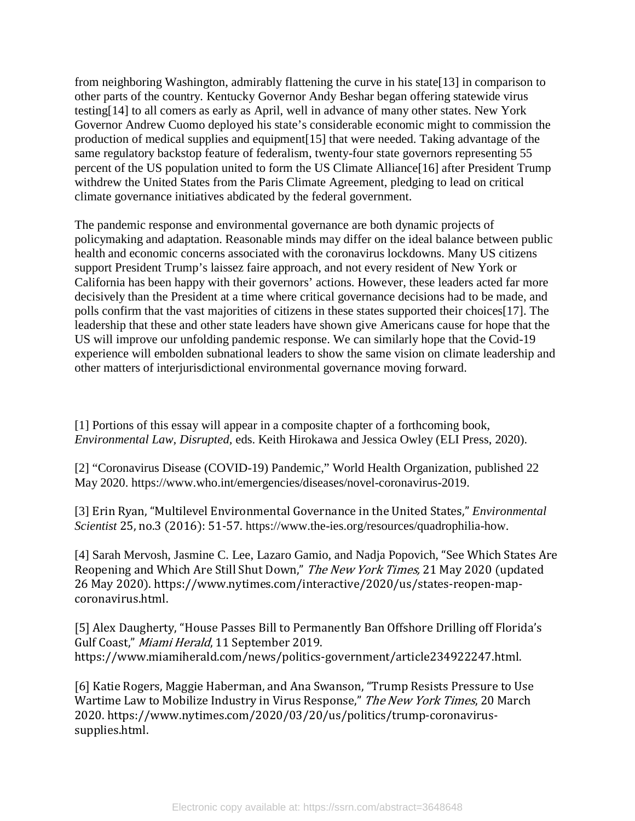from neighboring Washington, admirably flattening the curve in his state[13] in comparison to other parts of the country. Kentucky Governor Andy Beshar began offering statewide virus testing[14] to all comers as early as April, well in advance of many other states. New York Governor Andrew Cuomo deployed his state's considerable economic might to commission the production of medical supplies and equipment[15] that were needed. Taking advantage of the same regulatory backstop feature of federalism, twenty-four state governors representing 55 percent of the US population united to form the US Climate Alliance[16] after President Trump withdrew the United States from the Paris Climate Agreement, pledging to lead on critical climate governance initiatives abdicated by the federal government.

The pandemic response and environmental governance are both dynamic projects of policymaking and adaptation. Reasonable minds may differ on the ideal balance between public health and economic concerns associated with the coronavirus lockdowns. Many US citizens support President Trump's laissez faire approach, and not every resident of New York or California has been happy with their governors' actions. However, these leaders acted far more decisively than the President at a time where critical governance decisions had to be made, and polls confirm that the vast majorities of citizens in these states supported their choices[17]. The leadership that these and other state leaders have shown give Americans cause for hope that the US will improve our unfolding pandemic response. We can similarly hope that the Covid-19 experience will embolden subnational leaders to show the same vision on climate leadership and other matters of interjurisdictional environmental governance moving forward.

[1] Portions of this essay will appear in a composite chapter of a forthcoming book, *Environmental Law, Disrupted,* eds. Keith Hirokawa and Jessica Owley (ELI Press, 2020).

[2] "Coronavirus Disease (COVID-19) Pandemic," World Health Organization, published 22 May 2020. https://www.who.int/emergencies/diseases/novel-coronavirus-2019.

[3] Erin Ryan, "Multilevel Environmental Governance in the United States," *Environmental Scientist* 25, no.3 (2016): 51-57. [https://www.the-ies.org/resources/quadrophilia-how.](https://www.the-ies.org/resources/quadrophilia-how)

[4] Sarah Mervosh, Jasmine C. Lee, Lazaro Gamio, and Nadja Popovich, "See Which States Are Reopening and Which Are Still Shut Down," The New York Times, 21 May 2020 (updated 26 May 2020). https://www.nytimes.com/interactive/2020/us/states-reopen-mapcoronavirus.html.

[5] Alex Daugherty, "House Passes Bill to Permanently Ban Offshore Drilling off Florida's Gulf Coast," Miami Herald, 11 September 2019. https://www.miamiherald.com/news/politics-government/article234922247.html.

[6] Katie Rogers, Maggie Haberman, and Ana Swanson, "Trump Resists Pressure to Use Wartime Law to Mobilize Industry in Virus Response," The New York Times, 20 March 2020. https://www.nytimes.com/2020/03/20/us/politics/trump-coronavirussupplies.html.